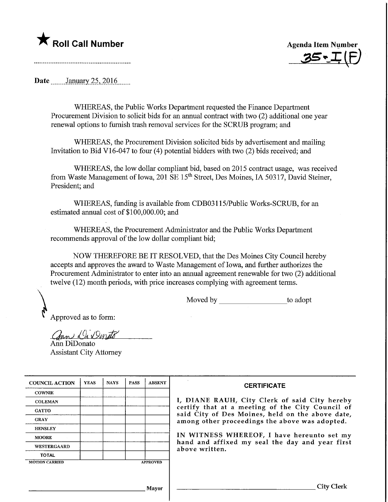

Agenda Item Number  $35.1(F)$ 

Date **January** 25, 2016

WHEREAS, the Public Works Department requested the Finance Department Procurement Division to solicit bids for an annual contract with two (2) additional one year renewal options to furnish trash removal services for the SCRUB program; and

WHEREAS, the Procurement Division solicited bids by advertisement and mailing Invitation to Bid V16-047 to four (4) potential bidders with two (2) bids received; and

WHEREAS, the low dollar compliant bid, based on 2015 contract usage, was received from Waste Management of Iowa, 201 SE 15<sup>th</sup> Street, Des Moines, IA 50317, David Steiner, President; and

WHEREAS, funding is available from CDB03115/Public Works-SCRUB, for an estimated annual cost of \$100,000.00; and

WHEREAS, the Procurement Administrator and the Public Works Department recommends approval of the low dollar compliant bid;

NOW THEREFORE BE IT RESOLVED, that the Des Moines City Council hereby accepts and approves the award to Waste Management of Iowa, and further authorizes the Procurement Administrator to enter into an annual agreement renewable for two (2) additional twelve (12) month periods, with price increases complying with agreement terms.

Moved by to adopt

Approved as to form:

ann Di Denato Ann DiDonato Assistant City Attorney

| <b>COUNCIL ACTION</b> | <b>YEAS</b> | <b>NAYS</b> | <b>PASS</b> | <b>ABSENT</b>   | <b>CERTIFICATE</b>                                                                                                                                                                                                                                                        |  |  |  |
|-----------------------|-------------|-------------|-------------|-----------------|---------------------------------------------------------------------------------------------------------------------------------------------------------------------------------------------------------------------------------------------------------------------------|--|--|--|
| <b>COWNIE</b>         |             |             |             |                 |                                                                                                                                                                                                                                                                           |  |  |  |
| <b>COLEMAN</b>        |             |             |             |                 | I, DIANE RAUH, City Clerk of said City hereby                                                                                                                                                                                                                             |  |  |  |
| <b>GATTO</b>          |             |             |             |                 | certify that at a meeting of the City Council of<br>said City of Des Moines, held on the above date,<br>among other proceedings the above was adopted.<br>IN WITNESS WHEREOF, I have hereunto set my<br>hand and affixed my seal the day and year first<br>above written. |  |  |  |
| <b>GRAY</b>           |             |             |             |                 |                                                                                                                                                                                                                                                                           |  |  |  |
| <b>HENSLEY</b>        |             |             |             |                 |                                                                                                                                                                                                                                                                           |  |  |  |
| <b>MOORE</b>          |             |             |             |                 |                                                                                                                                                                                                                                                                           |  |  |  |
| <b>WESTERGAARD</b>    |             |             |             |                 |                                                                                                                                                                                                                                                                           |  |  |  |
| <b>TOTAL</b>          |             |             |             |                 |                                                                                                                                                                                                                                                                           |  |  |  |
| <b>MOTION CARRIED</b> |             |             |             | <b>APPROVED</b> |                                                                                                                                                                                                                                                                           |  |  |  |
|                       |             |             |             |                 |                                                                                                                                                                                                                                                                           |  |  |  |
|                       |             |             |             |                 |                                                                                                                                                                                                                                                                           |  |  |  |
|                       |             |             |             | Mayor           | City Clerk                                                                                                                                                                                                                                                                |  |  |  |